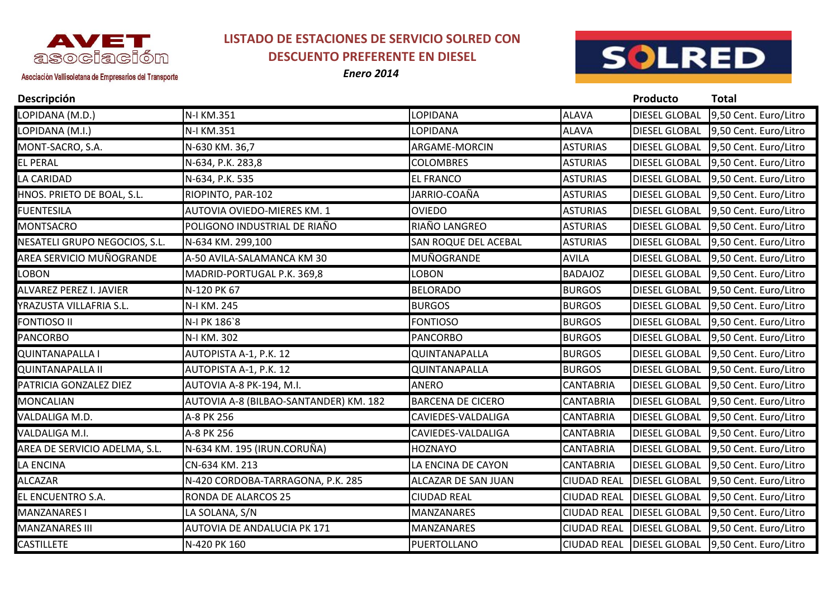

## **LISTADO DE ESTACIONES DE SERVICIO SOLRED CON DESCUENTO PREFERENTE EN DIESEL**

*Enero 2014*



## Asociación Vallisoletana de Empresarios del Transporte

| Descripción                    |                                        |                          |                    | Producto             | Total                 |
|--------------------------------|----------------------------------------|--------------------------|--------------------|----------------------|-----------------------|
| LOPIDANA (M.D.)                | N-I KM.351                             | LOPIDANA                 | <b>ALAVA</b>       | <b>DIESEL GLOBAL</b> | 9,50 Cent. Euro/Litro |
| LOPIDANA (M.I.)                | N-I KM.351                             | LOPIDANA                 | <b>ALAVA</b>       | <b>DIESEL GLOBAL</b> | 9,50 Cent. Euro/Litro |
| MONT-SACRO, S.A.               | N-630 KM. 36,7                         | ARGAME-MORCIN            | <b>ASTURIAS</b>    | <b>DIESEL GLOBAL</b> | 9,50 Cent. Euro/Litro |
| <b>EL PERAL</b>                | N-634, P.K. 283,8                      | <b>COLOMBRES</b>         | <b>ASTURIAS</b>    | <b>DIESEL GLOBAL</b> | 9,50 Cent. Euro/Litro |
| LA CARIDAD                     | N-634, P.K. 535                        | <b>EL FRANCO</b>         | <b>ASTURIAS</b>    | <b>DIESEL GLOBAL</b> | 9,50 Cent. Euro/Litro |
| HNOS. PRIETO DE BOAL, S.L.     | RIOPINTO, PAR-102                      | JARRIO-COAÑA             | <b>ASTURIAS</b>    | <b>DIESEL GLOBAL</b> | 9,50 Cent. Euro/Litro |
| <b>FUENTESILA</b>              | AUTOVIA OVIEDO-MIERES KM. 1            | <b>OVIEDO</b>            | <b>ASTURIAS</b>    | <b>DIESEL GLOBAL</b> | 9,50 Cent. Euro/Litro |
| <b>MONTSACRO</b>               | POLIGONO INDUSTRIAL DE RIAÑO           | RIAÑO LANGREO            | <b>ASTURIAS</b>    | <b>DIESEL GLOBAL</b> | 9,50 Cent. Euro/Litro |
| NESATELI GRUPO NEGOCIOS, S.L.  | N-634 KM. 299,100                      | SAN ROQUE DEL ACEBAL     | <b>ASTURIAS</b>    | <b>DIESEL GLOBAL</b> | 9,50 Cent. Euro/Litro |
| AREA SERVICIO MUÑOGRANDE       | A-50 AVILA-SALAMANCA KM 30             | MUÑOGRANDE               | <b>AVILA</b>       | <b>DIESEL GLOBAL</b> | 9,50 Cent. Euro/Litro |
| <b>LOBON</b>                   | MADRID-PORTUGAL P.K. 369,8             | <b>LOBON</b>             | <b>BADAJOZ</b>     | <b>DIESEL GLOBAL</b> | 9,50 Cent. Euro/Litro |
| <b>ALVAREZ PEREZ I. JAVIER</b> | N-120 PK 67                            | <b>BELORADO</b>          | <b>BURGOS</b>      | <b>DIESEL GLOBAL</b> | 9,50 Cent. Euro/Litro |
| YRAZUSTA VILLAFRIA S.L.        | N-I KM. 245                            | <b>BURGOS</b>            | <b>BURGOS</b>      | <b>DIESEL GLOBAL</b> | 9,50 Cent. Euro/Litro |
| <b>FONTIOSO II</b>             | N-I PK 186`8                           | <b>FONTIOSO</b>          | <b>BURGOS</b>      | <b>DIESEL GLOBAL</b> | 9,50 Cent. Euro/Litro |
| <b>PANCORBO</b>                | N-I KM. 302                            | <b>PANCORBO</b>          | <b>BURGOS</b>      | <b>DIESEL GLOBAL</b> | 9,50 Cent. Euro/Litro |
| <b>QUINTANAPALLA I</b>         | AUTOPISTA A-1, P.K. 12                 | QUINTANAPALLA            | <b>BURGOS</b>      | <b>DIESEL GLOBAL</b> | 9,50 Cent. Euro/Litro |
| <b>QUINTANAPALLA II</b>        | AUTOPISTA A-1, P.K. 12                 | QUINTANAPALLA            | <b>BURGOS</b>      | <b>DIESEL GLOBAL</b> | 9,50 Cent. Euro/Litro |
| PATRICIA GONZALEZ DIEZ         | AUTOVIA A-8 PK-194, M.I.               | <b>ANERO</b>             | <b>CANTABRIA</b>   | <b>DIESEL GLOBAL</b> | 9,50 Cent. Euro/Litro |
| <b>MONCALIAN</b>               | AUTOVIA A-8 (BILBAO-SANTANDER) KM. 182 | <b>BARCENA DE CICERO</b> | <b>CANTABRIA</b>   | <b>DIESEL GLOBAL</b> | 9,50 Cent. Euro/Litro |
| VALDALIGA M.D.                 | A-8 PK 256                             | CAVIEDES-VALDALIGA       | <b>CANTABRIA</b>   | <b>DIESEL GLOBAL</b> | 9,50 Cent. Euro/Litro |
| VALDALIGA M.I.                 | A-8 PK 256                             | CAVIEDES-VALDALIGA       | <b>CANTABRIA</b>   | <b>DIESEL GLOBAL</b> | 9,50 Cent. Euro/Litro |
| AREA DE SERVICIO ADELMA, S.L.  | N-634 KM. 195 (IRUN.CORUÑA)            | <b>HOZNAYO</b>           | <b>CANTABRIA</b>   | <b>DIESEL GLOBAL</b> | 9,50 Cent. Euro/Litro |
| LA ENCINA                      | CN-634 KM. 213                         | LA ENCINA DE CAYON       | <b>CANTABRIA</b>   | <b>DIESEL GLOBAL</b> | 9,50 Cent. Euro/Litro |
| <b>ALCAZAR</b>                 | N-420 CORDOBA-TARRAGONA, P.K. 285      | ALCAZAR DE SAN JUAN      | <b>CIUDAD REAL</b> | <b>DIESEL GLOBAL</b> | 9,50 Cent. Euro/Litro |
| EL ENCUENTRO S.A.              | RONDA DE ALARCOS 25                    | <b>CIUDAD REAL</b>       | <b>CIUDAD REAL</b> | <b>DIESEL GLOBAL</b> | 9,50 Cent. Euro/Litro |
| MANZANARES I                   | LA SOLANA, S/N                         | <b>MANZANARES</b>        | <b>CIUDAD REAL</b> | <b>DIESEL GLOBAL</b> | 9,50 Cent. Euro/Litro |
| <b>MANZANARES III</b>          | <b>AUTOVIA DE ANDALUCIA PK 171</b>     | <b>MANZANARES</b>        | <b>CIUDAD REAL</b> | <b>DIESEL GLOBAL</b> | 9,50 Cent. Euro/Litro |
| <b>CASTILLETE</b>              | N-420 PK 160                           | PUERTOLLANO              | <b>CIUDAD REAL</b> | <b>DIESEL GLOBAL</b> | 9,50 Cent. Euro/Litro |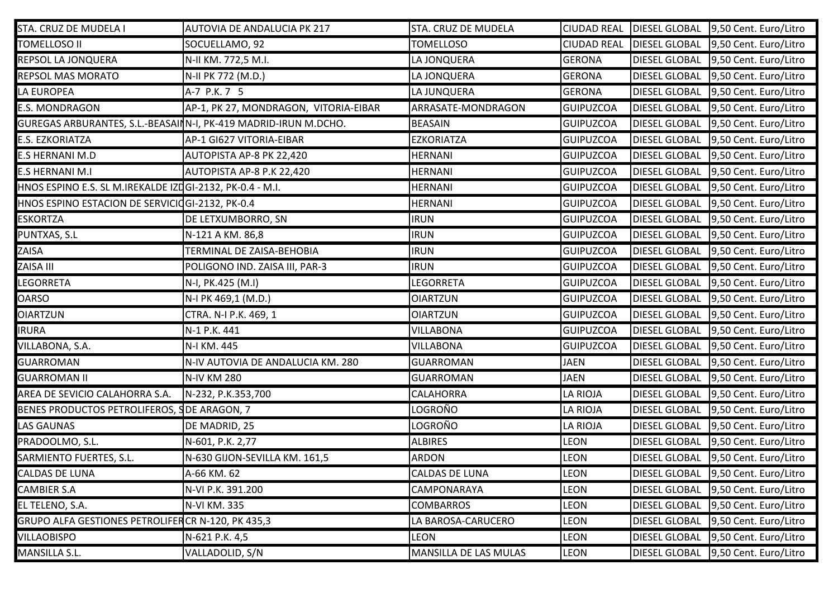| STA. CRUZ DE MUDELA I                                    | AUTOVIA DE ANDALUCIA PK 217                                     | STA. CRUZ DE MUDELA   |                  | CIUDAD REAL   DIESEL GLOBAL | 9,50 Cent. Euro/Litro               |
|----------------------------------------------------------|-----------------------------------------------------------------|-----------------------|------------------|-----------------------------|-------------------------------------|
| TOMELLOSO II                                             | SOCUELLAMO, 92                                                  | <b>TOMELLOSO</b>      |                  | CIUDAD REAL DIESEL GLOBAL   | 9,50 Cent. Euro/Litro               |
| REPSOL LA JONQUERA                                       | N-II KM. 772,5 M.I.                                             | LA JONQUERA           | <b>GERONA</b>    | <b>DIESEL GLOBAL</b>        | 9,50 Cent. Euro/Litro               |
| REPSOL MAS MORATO                                        | N-II PK 772 (M.D.)                                              | LA JONQUERA           | GERONA           | <b>DIESEL GLOBAL</b>        | 9,50 Cent. Euro/Litro               |
| LA EUROPEA                                               | A-7 P.K. 7 5                                                    | LA JUNQUERA           | GERONA           | <b>DIESEL GLOBAL</b>        | 9,50 Cent. Euro/Litro               |
| <b>E.S. MONDRAGON</b>                                    | AP-1, PK 27, MONDRAGON, VITORIA-EIBAR                           | ARRASATE-MONDRAGON    | GUIPUZCOA        | <b>DIESEL GLOBAL</b>        | 9,50 Cent. Euro/Litro               |
|                                                          | GUREGAS ARBURANTES, S.L.-BEASAINN-I, PK-419 MADRID-IRUN M.DCHO. | <b>BEASAIN</b>        | GUIPUZCOA        | <b>DIESEL GLOBAL</b>        | 9,50 Cent. Euro/Litro               |
| E.S. EZKORIATZA                                          | AP-1 GI627 VITORIA-EIBAR                                        | <b>EZKORIATZA</b>     | GUIPUZCOA        | <b>DIESEL GLOBAL</b>        | 9,50 Cent. Euro/Litro               |
| <b>E.S HERNANI M.D</b>                                   | AUTOPISTA AP-8 PK 22,420                                        | <b>HERNANI</b>        | GUIPUZCOA        | <b>DIESEL GLOBAL</b>        | 9,50 Cent. Euro/Litro               |
| <b>E.S HERNANI M.I</b>                                   | AUTOPISTA AP-8 P.K 22,420                                       | <b>HERNANI</b>        | GUIPUZCOA        | <b>DIESEL GLOBAL</b>        | 9,50 Cent. Euro/Litro               |
| HNOS ESPINO E.S. SL M.IREKALDE IZDGI-2132, PK-0.4 - M.I. |                                                                 | <b>HERNANI</b>        | GUIPUZCOA        | <b>DIESEL GLOBAL</b>        | 9,50 Cent. Euro/Litro               |
| HNOS ESPINO ESTACION DE SERVICIOGI-2132, PK-0.4          |                                                                 | <b>HERNANI</b>        | GUIPUZCOA        | <b>DIESEL GLOBAL</b>        | 9,50 Cent. Euro/Litro               |
| <b>ESKORTZA</b>                                          | DE LETXUMBORRO, SN                                              | <b>IRUN</b>           | GUIPUZCOA        | <b>DIESEL GLOBAL</b>        | 9,50 Cent. Euro/Litro               |
| PUNTXAS, S.L                                             | N-121 A KM. 86,8                                                | <b>IRUN</b>           | GUIPUZCOA        | <b>DIESEL GLOBAL</b>        | 9,50 Cent. Euro/Litro               |
| ZAISA                                                    | TERMINAL DE ZAISA-BEHOBIA                                       | <b>IRUN</b>           | GUIPUZCOA        | <b>DIESEL GLOBAL</b>        | 9,50 Cent. Euro/Litro               |
| ZAISA III                                                | POLIGONO IND. ZAISA III, PAR-3                                  | <b>IRUN</b>           | GUIPUZCOA        | <b>DIESEL GLOBAL</b>        | 9,50 Cent. Euro/Litro               |
| LEGORRETA                                                | N-I, PK.425 (M.I)                                               | <b>LEGORRETA</b>      | GUIPUZCOA        | <b>DIESEL GLOBAL</b>        | 9,50 Cent. Euro/Litro               |
| <b>OARSO</b>                                             | N-I PK 469,1 (M.D.)                                             | <b>OIARTZUN</b>       | GUIPUZCOA        | <b>DIESEL GLOBAL</b>        | 9,50 Cent. Euro/Litro               |
| <b>OIARTZUN</b>                                          | CTRA. N-I P.K. 469, 1                                           | <b>OIARTZUN</b>       | GUIPUZCOA        | <b>DIESEL GLOBAL</b>        | 9,50 Cent. Euro/Litro               |
| <b>IRURA</b>                                             | N-1 P.K. 441                                                    | <b>VILLABONA</b>      | GUIPUZCOA        | <b>DIESEL GLOBAL</b>        | 9,50 Cent. Euro/Litro               |
| VILLABONA, S.A.                                          | N-I KM. 445                                                     | <b>VILLABONA</b>      | <b>GUIPUZCOA</b> | <b>DIESEL GLOBAL</b>        | 9,50 Cent. Euro/Litro               |
| <b>GUARROMAN</b>                                         | N-IV AUTOVIA DE ANDALUCIA KM. 280                               | <b>GUARROMAN</b>      | <b>JAEN</b>      | <b>DIESEL GLOBAL</b>        | 9,50 Cent. Euro/Litro               |
| <b>GUARROMAN II</b>                                      | <b>N-IV KM 280</b>                                              | <b>GUARROMAN</b>      | <b>JAEN</b>      | <b>DIESEL GLOBAL</b>        | 9,50 Cent. Euro/Litro               |
| AREA DE SEVICIO CALAHORRA S.A.                           | N-232, P.K.353,700                                              | CALAHORRA             | <b>LA RIOJA</b>  | <b>DIESEL GLOBAL</b>        | 9,50 Cent. Euro/Litro               |
| BENES PRODUCTOS PETROLIFEROS, SDE ARAGON, 7              |                                                                 | LOGROÑO               | LA RIOJA         | <b>DIESEL GLOBAL</b>        | 9,50 Cent. Euro/Litro               |
| <b>LAS GAUNAS</b>                                        | DE MADRID, 25                                                   | LOGROÑO               | LA RIOJA         | <b>DIESEL GLOBAL</b>        | 9,50 Cent. Euro/Litro               |
| PRADOOLMO, S.L.                                          | N-601, P.K. 2,77                                                | <b>ALBIRES</b>        | LEON             | <b>DIESEL GLOBAL</b>        | 9,50 Cent. Euro/Litro               |
| SARMIENTO FUERTES, S.L.                                  | N-630 GIJON-SEVILLA KM. 161,5                                   | <b>ARDON</b>          | <b>LEON</b>      | <b>DIESEL GLOBAL</b>        | 9,50 Cent. Euro/Litro               |
| CALDAS DE LUNA                                           | A-66 KM. 62                                                     | <b>CALDAS DE LUNA</b> | <b>LEON</b>      |                             | DIESEL GLOBAL 9,50 Cent. Euro/Litro |
| <b>CAMBIER S.A</b>                                       | N-VI P.K. 391.200                                               | CAMPONARAYA           | <b>LEON</b>      | <b>DIESEL GLOBAL</b>        | 9,50 Cent. Euro/Litro               |
| EL TELENO, S.A.                                          | N-VI KM. 335                                                    | <b>COMBARROS</b>      | <b>LEON</b>      | <b>DIESEL GLOBAL</b>        | 9,50 Cent. Euro/Litro               |
| GRUPO ALFA GESTIONES PETROLIFER CR N-120, PK 435,3       |                                                                 | LA BAROSA-CARUCERO    | <b>LEON</b>      | <b>DIESEL GLOBAL</b>        | 9,50 Cent. Euro/Litro               |
| <b>VILLAOBISPO</b>                                       | N-621 P.K. 4,5                                                  | <b>LEON</b>           | <b>LEON</b>      | <b>DIESEL GLOBAL</b>        | 9,50 Cent. Euro/Litro               |
| MANSILLA S.L.                                            | VALLADOLID, S/N                                                 | MANSILLA DE LAS MULAS | <b>LEON</b>      | <b>DIESEL GLOBAL</b>        | 9,50 Cent. Euro/Litro               |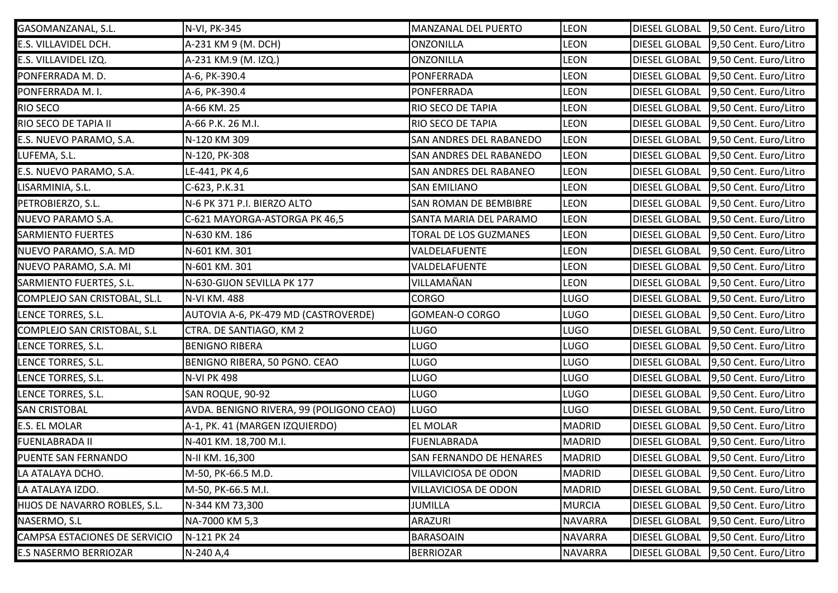| GASOMANZANAL, S.L.            | N-VI, PK-345                             | <b>MANZANAL DEL PUERTO</b>     | <b>LEON</b>    | <b>DIESEL GLOBAL</b> | 9,50 Cent. Euro/Litro |
|-------------------------------|------------------------------------------|--------------------------------|----------------|----------------------|-----------------------|
| E.S. VILLAVIDEL DCH.          | A-231 KM 9 (M. DCH)                      | <b>ONZONILLA</b>               | LEON           | <b>DIESEL GLOBAL</b> | 9,50 Cent. Euro/Litro |
| E.S. VILLAVIDEL IZQ.          | A-231 KM.9 (M. IZQ.)                     | <b>ONZONILLA</b>               | <b>LEON</b>    | <b>DIESEL GLOBAL</b> | 9,50 Cent. Euro/Litro |
| PONFERRADA M.D.               | A-6, PK-390.4                            | PONFERRADA                     | <b>LEON</b>    | <b>DIESEL GLOBAL</b> | 9,50 Cent. Euro/Litro |
| PONFERRADA M.I.               | A-6, PK-390.4                            | PONFERRADA                     | <b>LEON</b>    | <b>DIESEL GLOBAL</b> | 9,50 Cent. Euro/Litro |
| RIO SECO                      | A-66 KM. 25                              | RIO SECO DE TAPIA              | <b>LEON</b>    | <b>DIESEL GLOBAL</b> | 9,50 Cent. Euro/Litro |
| RIO SECO DE TAPIA II          | A-66 P.K. 26 M.I.                        | RIO SECO DE TAPIA              | LEON           | <b>DIESEL GLOBAL</b> | 9,50 Cent. Euro/Litro |
| E.S. NUEVO PARAMO, S.A.       | N-120 KM 309                             | SAN ANDRES DEL RABANEDO        | <b>LEON</b>    | <b>DIESEL GLOBAL</b> | 9,50 Cent. Euro/Litro |
| LUFEMA, S.L.                  | N-120, PK-308                            | <b>SAN ANDRES DEL RABANEDO</b> | <b>LEON</b>    | <b>DIESEL GLOBAL</b> | 9,50 Cent. Euro/Litro |
| E.S. NUEVO PARAMO, S.A.       | LE-441, PK 4,6                           | <b>SAN ANDRES DEL RABANEO</b>  | <b>LEON</b>    | <b>DIESEL GLOBAL</b> | 9,50 Cent. Euro/Litro |
| LISARMINIA, S.L.              | C-623, P.K.31                            | <b>SAN EMILIANO</b>            | <b>LEON</b>    | <b>DIESEL GLOBAL</b> | 9,50 Cent. Euro/Litro |
| PETROBIERZO, S.L.             | N-6 PK 371 P.I. BIERZO ALTO              | <b>SAN ROMAN DE BEMBIBRE</b>   | <b>LEON</b>    | <b>DIESEL GLOBAL</b> | 9,50 Cent. Euro/Litro |
| NUEVO PARAMO S.A.             | C-621 MAYORGA-ASTORGA PK 46,5            | SANTA MARIA DEL PARAMO         | <b>LEON</b>    | <b>DIESEL GLOBAL</b> | 9,50 Cent. Euro/Litro |
| SARMIENTO FUERTES             | N-630 KM. 186                            | TORAL DE LOS GUZMANES          | <b>LEON</b>    | <b>DIESEL GLOBAL</b> | 9,50 Cent. Euro/Litro |
| NUEVO PARAMO, S.A. MD         | N-601 KM. 301                            | VALDELAFUENTE                  | <b>LEON</b>    | <b>DIESEL GLOBAL</b> | 9,50 Cent. Euro/Litro |
| NUEVO PARAMO, S.A. MI         | N-601 KM. 301                            | VALDELAFUENTE                  | LEON           | <b>DIESEL GLOBAL</b> | 9,50 Cent. Euro/Litro |
| SARMIENTO FUERTES, S.L.       | N-630-GIJON SEVILLA PK 177               | VILLAMAÑAN                     | <b>LEON</b>    | <b>DIESEL GLOBAL</b> | 9,50 Cent. Euro/Litro |
| COMPLEJO SAN CRISTOBAL, SL.L  | N-VI KM. 488                             | <b>CORGO</b>                   | LUGO           | <b>DIESEL GLOBAL</b> | 9,50 Cent. Euro/Litro |
| LENCE TORRES, S.L.            | AUTOVIA A-6, PK-479 MD (CASTROVERDE)     | GOMEAN-O CORGO                 | LUGO           | <b>DIESEL GLOBAL</b> | 9,50 Cent. Euro/Litro |
| COMPLEJO SAN CRISTOBAL, S.L   | CTRA. DE SANTIAGO, KM 2                  | LUGO                           | LUGO           | <b>DIESEL GLOBAL</b> | 9,50 Cent. Euro/Litro |
| LENCE TORRES, S.L.            | <b>BENIGNO RIBERA</b>                    | <b>LUGO</b>                    | LUGO           | <b>DIESEL GLOBAL</b> | 9,50 Cent. Euro/Litro |
| LENCE TORRES, S.L.            | BENIGNO RIBERA, 50 PGNO. CEAO            | <b>LUGO</b>                    | LUGO           | <b>DIESEL GLOBAL</b> | 9,50 Cent. Euro/Litro |
| LENCE TORRES, S.L.            | <b>N-VI PK 498</b>                       | LUGO                           | LUGO           | <b>DIESEL GLOBAL</b> | 9,50 Cent. Euro/Litro |
| LENCE TORRES, S.L.            | SAN ROQUE, 90-92                         | <b>LUGO</b>                    | LUGO           | <b>DIESEL GLOBAL</b> | 9,50 Cent. Euro/Litro |
| <b>SAN CRISTOBAL</b>          | AVDA. BENIGNO RIVERA, 99 (POLIGONO CEAO) | <b>LUGO</b>                    | LUGO           | <b>DIESEL GLOBAL</b> | 9,50 Cent. Euro/Litro |
| E.S. EL MOLAR                 | A-1, PK. 41 (MARGEN IZQUIERDO)           | <b>EL MOLAR</b>                | MADRID         | <b>DIESEL GLOBAL</b> | 9,50 Cent. Euro/Litro |
| FUENLABRADA II                | N-401 KM. 18,700 M.I.                    | <b>FUENLABRADA</b>             | MADRID         | <b>DIESEL GLOBAL</b> | 9,50 Cent. Euro/Litro |
| PUENTE SAN FERNANDO           | N-II KM. 16,300                          | <b>SAN FERNANDO DE HENARES</b> | MADRID         | <b>DIESEL GLOBAL</b> | 9,50 Cent. Euro/Litro |
| LA ATALAYA DCHO.              | M-50, PK-66.5 M.D.                       | VILLAVICIOSA DE ODON           | MADRID         | <b>DIESEL GLOBAL</b> | 9,50 Cent. Euro/Litro |
| LA ATALAYA IZDO.              | M-50, PK-66.5 M.I.                       | VILLAVICIOSA DE ODON           | <b>MADRID</b>  | <b>DIESEL GLOBAL</b> | 9,50 Cent. Euro/Litro |
| HIJOS DE NAVARRO ROBLES, S.L. | N-344 KM 73,300                          | <b>JUMILLA</b>                 | MURCIA         | <b>DIESEL GLOBAL</b> | 9,50 Cent. Euro/Litro |
| NASERMO, S.L                  | NA-7000 KM 5,3                           | ARAZURI                        | <b>NAVARRA</b> | <b>DIESEL GLOBAL</b> | 9,50 Cent. Euro/Litro |
| CAMPSA ESTACIONES DE SERVICIO | N-121 PK 24                              | <b>BARASOAIN</b>               | NAVARRA        | <b>DIESEL GLOBAL</b> | 9,50 Cent. Euro/Litro |
| E.S NASERMO BERRIOZAR         | N-240 A,4                                | <b>BERRIOZAR</b>               | <b>NAVARRA</b> | <b>DIESEL GLOBAL</b> | 9,50 Cent. Euro/Litro |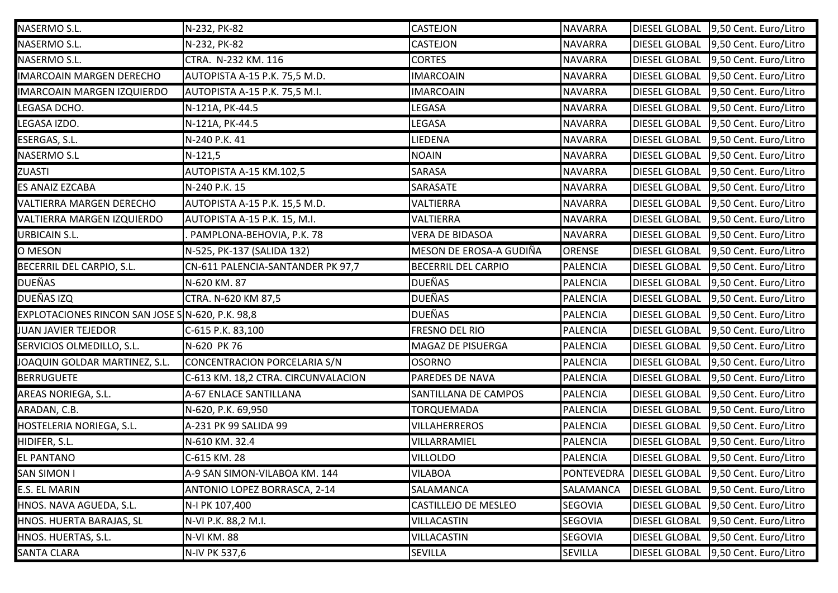| NASERMO S.L.                                    | N-232, PK-82                        | <b>CASTEJON</b>            | NAVARRA         | <b>DIESEL GLOBAL</b>     | 9,50 Cent. Euro/Litro |
|-------------------------------------------------|-------------------------------------|----------------------------|-----------------|--------------------------|-----------------------|
| NASERMO S.L.                                    | N-232, PK-82                        | <b>CASTEJON</b>            | NAVARRA         | <b>DIESEL GLOBAL</b>     | 9,50 Cent. Euro/Litro |
| NASERMO S.L.                                    | CTRA. N-232 KM. 116                 | <b>CORTES</b>              | NAVARRA         | <b>DIESEL GLOBAL</b>     | 9,50 Cent. Euro/Litro |
| <b>IMARCOAIN MARGEN DERECHO</b>                 | AUTOPISTA A-15 P.K. 75,5 M.D.       | <b>IMARCOAIN</b>           | NAVARRA         | <b>DIESEL GLOBAL</b>     | 9,50 Cent. Euro/Litro |
| IMARCOAIN MARGEN IZQUIERDO                      | AUTOPISTA A-15 P.K. 75,5 M.I.       | <b>IMARCOAIN</b>           | NAVARRA         | <b>DIESEL GLOBAL</b>     | 9,50 Cent. Euro/Litro |
| LEGASA DCHO.                                    | N-121A, PK-44.5                     | LEGASA                     | NAVARRA         | <b>DIESEL GLOBAL</b>     | 9,50 Cent. Euro/Litro |
| LEGASA IZDO.                                    | N-121A, PK-44.5                     | LEGASA                     | NAVARRA         | <b>DIESEL GLOBAL</b>     | 9,50 Cent. Euro/Litro |
| ESERGAS, S.L.                                   | N-240 P.K. 41                       | LIEDENA                    | NAVARRA         | <b>DIESEL GLOBAL</b>     | 9,50 Cent. Euro/Litro |
| NASERMO S.L                                     | $N-121,5$                           | <b>NOAIN</b>               | NAVARRA         | <b>DIESEL GLOBAL</b>     | 9,50 Cent. Euro/Litro |
| <b>ZUASTI</b>                                   | AUTOPISTA A-15 KM.102,5             | SARASA                     | NAVARRA         | <b>DIESEL GLOBAL</b>     | 9,50 Cent. Euro/Litro |
| ES ANAIZ EZCABA                                 | N-240 P.K. 15                       | SARASATE                   | NAVARRA         | <b>DIESEL GLOBAL</b>     | 9,50 Cent. Euro/Litro |
| VALTIERRA MARGEN DERECHO                        | AUTOPISTA A-15 P.K. 15,5 M.D.       | VALTIERRA                  | NAVARRA         | <b>DIESEL GLOBAL</b>     | 9,50 Cent. Euro/Litro |
| VALTIERRA MARGEN IZQUIERDO                      | AUTOPISTA A-15 P.K. 15, M.I.        | VALTIERRA                  | NAVARRA         | <b>DIESEL GLOBAL</b>     | 9,50 Cent. Euro/Litro |
| <b>URBICAIN S.L.</b>                            | PAMPLONA-BEHOVIA, P.K. 78           | <b>VERA DE BIDASOA</b>     | <b>NAVARRA</b>  | <b>DIESEL GLOBAL</b>     | 9,50 Cent. Euro/Litro |
| O MESON                                         | N-525, PK-137 (SALIDA 132)          | MESON DE EROSA-A GUDIÑA    | ORENSE          | <b>DIESEL GLOBAL</b>     | 9,50 Cent. Euro/Litro |
| BECERRIL DEL CARPIO, S.L.                       | CN-611 PALENCIA-SANTANDER PK 97,7   | <b>BECERRIL DEL CARPIO</b> | PALENCIA        | <b>DIESEL GLOBAL</b>     | 9,50 Cent. Euro/Litro |
| <b>DUEÑAS</b>                                   | N-620 KM. 87                        | <b>DUEÑAS</b>              | PALENCIA        | <b>DIESEL GLOBAL</b>     | 9,50 Cent. Euro/Litro |
| DUEÑAS IZQ                                      | CTRA. N-620 KM 87,5                 | <b>DUEÑAS</b>              | <b>PALENCIA</b> | <b>DIESEL GLOBAL</b>     | 9,50 Cent. Euro/Litro |
| EXPLOTACIONES RINCON SAN JOSE SN-620, P.K. 98,8 |                                     | <b>DUEÑAS</b>              | <b>PALENCIA</b> | <b>DIESEL GLOBAL</b>     | 9,50 Cent. Euro/Litro |
| JUAN JAVIER TEJEDOR                             | C-615 P.K. 83,100                   | FRESNO DEL RIO             | PALENCIA        | <b>DIESEL GLOBAL</b>     | 9,50 Cent. Euro/Litro |
| SERVICIOS OLMEDILLO, S.L.                       | N-620 PK 76                         | MAGAZ DE PISUERGA          | <b>PALENCIA</b> | <b>DIESEL GLOBAL</b>     | 9,50 Cent. Euro/Litro |
| JOAQUIN GOLDAR MARTINEZ, S.L.                   | CONCENTRACION PORCELARIA S/N        | <b>OSORNO</b>              | PALENCIA        | <b>DIESEL GLOBAL</b>     | 9,50 Cent. Euro/Litro |
| <b>BERRUGUETE</b>                               | C-613 KM. 18,2 CTRA. CIRCUNVALACION | PAREDES DE NAVA            | PALENCIA        | <b>DIESEL GLOBAL</b>     | 9,50 Cent. Euro/Litro |
| AREAS NORIEGA, S.L.                             | A-67 ENLACE SANTILLANA              | SANTILLANA DE CAMPOS       | PALENCIA        | <b>DIESEL GLOBAL</b>     | 9,50 Cent. Euro/Litro |
| ARADAN, C.B.                                    | N-620, P.K. 69,950                  | <b>TORQUEMADA</b>          | PALENCIA        | <b>DIESEL GLOBAL</b>     | 9,50 Cent. Euro/Litro |
| HOSTELERIA NORIEGA, S.L.                        | A-231 PK 99 SALIDA 99               | <b>VILLAHERREROS</b>       | PALENCIA        | <b>DIESEL GLOBAL</b>     | 9,50 Cent. Euro/Litro |
| HIDIFER, S.L.                                   | N-610 KM. 32.4                      | VILLARRAMIEL               | <b>PALENCIA</b> | <b>DIESEL GLOBAL</b>     | 9,50 Cent. Euro/Litro |
| <b>EL PANTANO</b>                               | C-615 KM. 28                        | <b>VILLOLDO</b>            | PALENCIA        | <b>DIESEL GLOBAL</b>     | 9,50 Cent. Euro/Litro |
| <b>SAN SIMON I</b>                              | A-9 SAN SIMON-VILABOA KM. 144       | <b>VILABOA</b>             |                 | PONTEVEDRA DIESEL GLOBAL | 9,50 Cent. Euro/Litro |
| <b>E.S. EL MARIN</b>                            | ANTONIO LOPEZ BORRASCA, 2-14        | SALAMANCA                  | SALAMANCA       | <b>DIESEL GLOBAL</b>     | 9,50 Cent. Euro/Litro |
| HNOS. NAVA AGUEDA, S.L.                         | N-I PK 107,400                      | CASTILLEJO DE MESLEO       | <b>SEGOVIA</b>  | <b>DIESEL GLOBAL</b>     | 9,50 Cent. Euro/Litro |
| HNOS. HUERTA BARAJAS, SL                        | N-VI P.K. 88,2 M.I.                 | <b>VILLACASTIN</b>         | <b>SEGOVIA</b>  | <b>DIESEL GLOBAL</b>     | 9,50 Cent. Euro/Litro |
| HNOS. HUERTAS, S.L.                             | <b>N-VI KM. 88</b>                  | <b>VILLACASTIN</b>         | <b>SEGOVIA</b>  | <b>DIESEL GLOBAL</b>     | 9,50 Cent. Euro/Litro |
| <b>SANTA CLARA</b>                              | N-IV PK 537,6                       | SEVILLA                    | <b>SEVILLA</b>  | <b>DIESEL GLOBAL</b>     | 9,50 Cent. Euro/Litro |